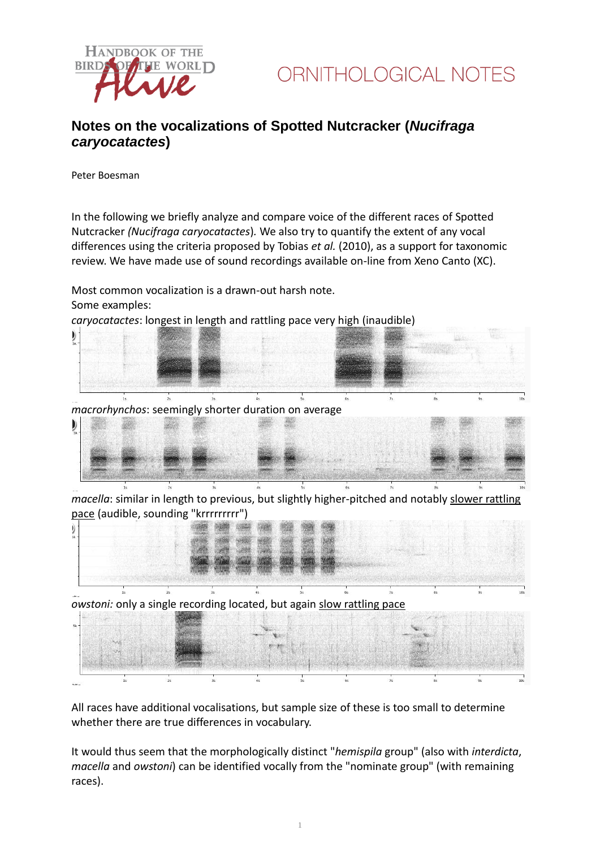



## **Notes on the vocalizations of Spotted Nutcracker (***Nucifraga caryocatactes***)**

Peter Boesman

In the following we briefly analyze and compare voice of the different races of Spotted Nutcracker *(Nucifraga caryocatactes*)*.* We also try to quantify the extent of any vocal differences using the criteria proposed by Tobias *et al.* (2010), as a support for taxonomic review. We have made use of sound recordings available on-line from Xeno Canto (XC).

Most common vocalization is a drawn-out harsh note. Some examples:

*caryocatactes*: longest in length and rattling pace very high (inaudible)



*macella*: similar in length to previous, but slightly higher-pitched and notably slower rattling pace (audible, sounding "krrrrrrrrr")



*owstoni:* only a single recording located, but again slow rattling pace

All races have additional vocalisations, but sample size of these is too small to determine whether there are true differences in vocabulary.

It would thus seem that the morphologically distinct "*hemispila* group" (also with *interdicta*, *macella* and *owstoni*) can be identified vocally from the "nominate group" (with remaining races).